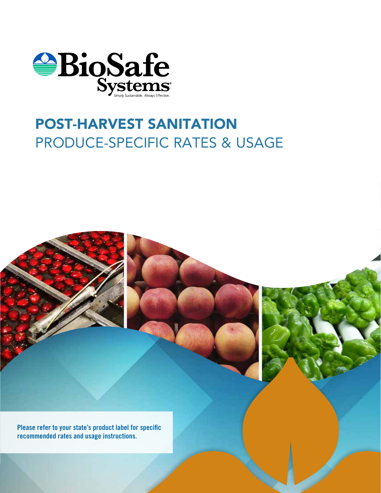

### POST-HARVEST SANITATION PRODUCE-SPECIFIC RATES & USAGE



Please refer to your state's product label for specific recommended rates and usage instructions.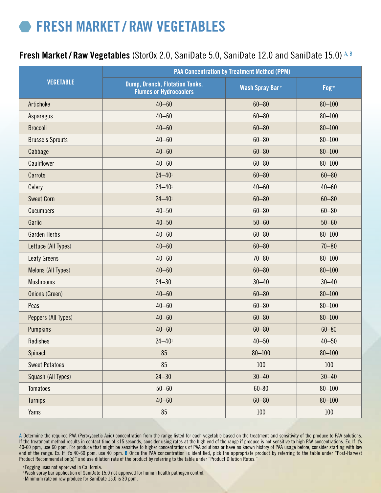### FRESH MARKET / RAW VEGETABLES

#### Fresh Market / Raw Vegetables (StorOx 2.0, SaniDate 5.0, SaniDate 12.0 and SaniDate 15.0) A, B

|                         | <b>PAA Concentration by Treatment Method (PPM)</b>              |                        |            |  |
|-------------------------|-----------------------------------------------------------------|------------------------|------------|--|
| <b>VEGETABLE</b>        | Dump, Drench, Flotation Tanks,<br><b>Flumes or Hydrocoolers</b> | <b>Wash Spray Bar+</b> | Fog*       |  |
| Artichoke               | $40 - 60$                                                       | $60 - 80$              | $80 - 100$ |  |
| Asparagus               | $40 - 60$                                                       | $60 - 80$              | $80 - 100$ |  |
| <b>Broccoli</b>         | $40 - 60$                                                       | $60 - 80$              | $80 - 100$ |  |
| <b>Brussels Sprouts</b> | $40 - 60$                                                       | $60 - 80$              | $80 - 100$ |  |
| Cabbage                 | $40 - 60$                                                       | $60 - 80$              | $80 - 100$ |  |
| Cauliflower             | $40 - 60$                                                       | $60 - 80$              | $80 - 100$ |  |
| Carrots                 | $24 - 40$ <sup>1</sup>                                          | $60 - 80$              | $60 - 80$  |  |
| Celery                  | $24 - 40$                                                       | $40 - 60$              | $40 - 60$  |  |
| <b>Sweet Corn</b>       | $24 - 40$ <sup>1</sup>                                          | $60 - 80$              | $60 - 80$  |  |
| Cucumbers               | $40 - 50$                                                       | $60 - 80$              | $60 - 80$  |  |
| Garlic                  | $40 - 50$                                                       | $50 - 60$              | $50 - 60$  |  |
| <b>Garden Herbs</b>     | $40 - 60$                                                       | $60 - 80$              | $80 - 100$ |  |
| Lettuce (All Types)     | $40 - 60$                                                       | $60 - 80$              | $70 - 80$  |  |
| <b>Leafy Greens</b>     | $40 - 60$                                                       | $70 - 80$              | $80 - 100$ |  |
| Melons (All Types)      | $40 - 60$                                                       | $60 - 80$              | $80 - 100$ |  |
| <b>Mushrooms</b>        | $24 - 301$                                                      | $30 - 40$              | $30 - 40$  |  |
| Onions (Green)          | $40 - 60$                                                       | $60 - 80$              | $80 - 100$ |  |
| Peas                    | $40 - 60$                                                       | $60 - 80$              | $80 - 100$ |  |
| Peppers (All Types)     | $40 - 60$                                                       | $60 - 80$              | $80 - 100$ |  |
| Pumpkins                | $40 - 60$                                                       | $60 - 80$              | $60 - 80$  |  |
| Radishes                | $24 - 40$ <sup>1</sup>                                          | $40 - 50$              | $40 - 50$  |  |
| Spinach                 | 85                                                              | $80 - 100$             | $80 - 100$ |  |
| <b>Sweet Potatoes</b>   | 85                                                              | 100                    | 100        |  |
| Squash (All Types)      | $24 - 301$                                                      | $30 - 40$              | $30 - 40$  |  |
| <b>Tomatoes</b>         | $50 - 60$                                                       | $60 - 80$              | $80 - 100$ |  |
| <b>Turnips</b>          | $40 - 60$                                                       | $60 - 80$              | $80 - 100$ |  |
| Yams                    | 85                                                              | 100                    | 100        |  |

A Determine the required PAA (Peroxyacetic Acid) concentration from the range listed for each vegetable based on the treatment and sensitivity of the produce to PAA solutions. If the treatment method results in contact time of ≤15 seconds, consider using rates at the high end of the range if produce is not sensitive to high PAA concentrations. Ex. If it's 40-60 ppm, use 60 ppm. For produce that might be sensitive to higher concentrations of PAA solutions or have no known history of PAA usage before, consider starting with low end of the range. Ex. If it's 40-60 ppm, use 40 ppm. B Once the PAA concentration is identified, pick the appropriate product by referring to the table under "Post-Harvest Product Recommendation(s)" and use dilution rate of the product by referring to the table under "Product Dilution Rates."

\* Fogging uses not approved in California. + Wash spray bar application of SaniDate 15.0 not approved for human health pathogen control.

<sup>1</sup> Minimum rate on raw produce for SaniDate 15.0 is 30 ppm.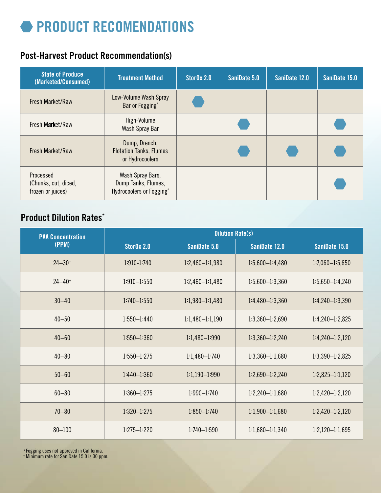## **• PRODUCT RECOMENDATIONS**

### Post-Harvest Product Recommendation(s)

| <b>State of Produce</b><br>(Marketed/Consumed)         | <b>Treatment Method</b>                                             | StorOx 2.0 | SaniDate 5.0 | SaniDate 12.0 | SaniDate 15.0 |
|--------------------------------------------------------|---------------------------------------------------------------------|------------|--------------|---------------|---------------|
| Fresh Market/Raw                                       | Low-Volume Wash Spray<br>Bar or Fogging*                            |            |              |               |               |
| Fresh Market/Raw                                       | High-Volume<br>Wash Spray Bar                                       |            |              |               |               |
| Fresh Market/Raw                                       | Dump, Drench,<br><b>Flotation Tanks, Flumes</b><br>or Hydrocoolers  |            |              |               |               |
| Processed<br>(Chunks, cut, diced,<br>frozen or juices) | Wash Spray Bars,<br>Dump Tanks, Flumes,<br>Hydrocoolers or Fogging* |            |              |               |               |

### Product Dilution Rates\*

| <b>PAA Concentration</b><br>(PPM) | <b>Dilution Rate(s)</b> |                   |                     |                     |
|-----------------------------------|-------------------------|-------------------|---------------------|---------------------|
|                                   | StorOx 2.0              | SaniDate 5.0      | SaniDate 12.0       | SaniDate 15.0       |
| $24 - 30+$                        | 1:910-1:740             | $1:2,460-1:1,980$ | $1:5,600-1:4,480$   | $1:7,060 - 1:5,650$ |
| $24 - 40+$                        | $1:910 - 1:550$         | $1:2,460-1:1,480$ | $1:5,600-1:3,360$   | $1:5,650-1:4,240$   |
| $30 - 40$                         | $1:740 - 1:550$         | $1:1,980-1:1,480$ | $1:4,480-1:3,360$   | $1:4,240-1:3,390$   |
| $40 - 50$                         | $1:550 - 1:440$         | $1:1,480-1:1,190$ | $1:3,360-1:2,690$   | $1:4,240-1:2,825$   |
| $40 - 60$                         | $1:550 - 1:360$         | $1:1,480-1:990$   | $1:3,360 - 1:2,240$ | $1:4,240-1:2,120$   |
| $40 - 80$                         | $1:550 - 1:275$         | $1:1,480-1:740$   | $1:3,360 - 1:1,680$ | $1:3,390-1:2,825$   |
| $50 - 60$                         | $1:440 - 1:360$         | $1:1,190-1:990$   | $1:2,690-1:2,240$   | $1:2,825-1:1,120$   |
| $60 - 80$                         | $1:360 - 1:275$         | $1:990 - 1:740$   | $1:2,240-1:1,680$   | $1:2,420 - 1:2,120$ |
| $70 - 80$                         | $1:320 - 1:275$         | $1:850 - 1:740$   | $1:1,900-1:1,680$   | $1:2,420-1:2,120$   |
| $80 - 100$                        | $1:275 - 1:220$         | $1:740 - 1:590$   | $1:1,680-1:1,340$   | $1:2,120-1:1,695$   |

\* Fogging uses not approved in California. + Minimum rate for SaniDate 15.0 is 30 ppm.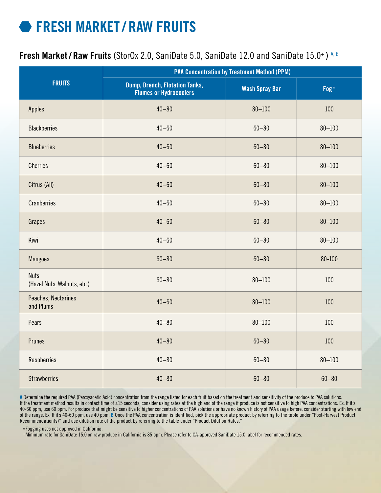## FRESH MARKET / RAW FRUITS

#### Fresh Market/Raw Fruits (StorOx 2.0, SaniDate 5.0, SaniDate 12.0 and SaniDate 15.0+) A, B

|                                            | <b>PAA Concentration by Treatment Method (PPM)</b>              |                       |            |  |
|--------------------------------------------|-----------------------------------------------------------------|-----------------------|------------|--|
| <b>FRUITS</b>                              | Dump, Drench, Flotation Tanks,<br><b>Flumes or Hydrocoolers</b> | <b>Wash Spray Bar</b> | Fog*       |  |
| <b>Apples</b>                              | $40 - 80$                                                       | $80 - 100$            | 100        |  |
| <b>Blackberries</b>                        | $40 - 60$                                                       | $60 - 80$             | $80 - 100$ |  |
| <b>Blueberries</b>                         | $40 - 60$                                                       | $60 - 80$             | $80 - 100$ |  |
| <b>Cherries</b>                            | $40 - 60$                                                       | $60 - 80$             | $80 - 100$ |  |
| Citrus (All)                               | $40 - 60$                                                       | $60 - 80$             | $80 - 100$ |  |
| <b>Cranberries</b>                         | $40 - 60$                                                       | $60 - 80$             | $80 - 100$ |  |
| Grapes                                     | $40 - 60$                                                       | $60 - 80$             | $80 - 100$ |  |
| Kiwi                                       | $40 - 60$                                                       | $60 - 80$             | $80 - 100$ |  |
| <b>Mangoes</b>                             | $60 - 80$                                                       | $60 - 80$             | 80-100     |  |
| <b>Nuts</b><br>(Hazel Nuts, Walnuts, etc.) | $60 - 80$                                                       | $80 - 100$            | 100        |  |
| Peaches, Nectarines<br>and Plums           | $40 - 60$                                                       | $80 - 100$            | 100        |  |
| Pears                                      | $40 - 80$                                                       | $80 - 100$            | 100        |  |
| Prunes                                     | $40 - 80$                                                       | $60 - 80$             | 100        |  |
| Raspberries                                | $40 - 80$                                                       | $60 - 80$             | $80 - 100$ |  |
| <b>Strawberries</b>                        | $40 - 80$                                                       | $60 - 80$             | $60 - 80$  |  |

A Determine the required PAA (Peroxyacetic Acid) concentration from the range listed for each fruit based on the treatment and sensitivity of the produce to PAA solutions. If the treatment method results in contact time of ≤15 seconds, consider using rates at the high end of the range if produce is not sensitive to high PAA concentrations. Ex. If it's 40-60 ppm, use 60 ppm. For produce that might be sensitive to higher concentrations of PAA solutions or have no known history of PAA usage before, consider starting with low end of the range. Ex. If it's 40-60 ppm, use 40 ppm. B Once the PAA concentration is identified, pick the appropriate product by referring to the table under "Post-Harvest Product Recommendation(s)" and use dilution rate of the product by referring to the table under "Product Dilution Rates."

\* Fogging uses not approved in California.

+ Minimum rate for SaniDate 15.0 on raw produce in California is 85 ppm. Please refer to CA-approved SaniDate 15.0 label for recommended rates.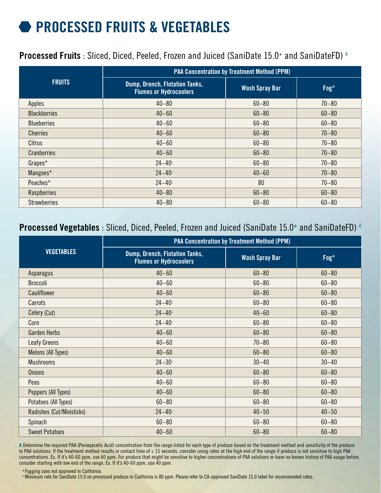# PROCESSED FRUITS & VEGETABLES

#### Processed Fruits : Sliced, Diced, Peeled, Frozen and Juiced (SaniDate 15.0+ and SaniDateFD) A

|                     | <b>PAA Concentration by Treatment Method (PPM)</b>                     |                       |           |  |
|---------------------|------------------------------------------------------------------------|-----------------------|-----------|--|
| <b>FRUITS</b>       | <b>Dump, Drench, Flotation Tanks,</b><br><b>Flumes or Hydrocoolers</b> | <b>Wash Spray Bar</b> | Fog*      |  |
| Apples              | $40 - 80$                                                              | $60 - 80$             | $70 - 80$ |  |
| <b>Blackberries</b> | $40 - 60$                                                              | $60 - 80$             | $60 - 80$ |  |
| <b>Blueberries</b>  | $40 - 60$                                                              | $60 - 80$             | $60 - 80$ |  |
| <b>Cherries</b>     | $40 - 60$                                                              | $60 - 80$             | $70 - 80$ |  |
| Citrus              | $40 - 60$                                                              | $60 - 80$             | $70 - 80$ |  |
| <b>Cranberries</b>  | $40 - 60$                                                              | $60 - 80$             | $70 - 80$ |  |
| Grapes*             | $24 - 40$                                                              | $60 - 80$             | $70 - 80$ |  |
| Mangoes*            | $24 - 40$ <sup>1</sup>                                                 | $40 - 60$             | $70 - 80$ |  |
| Peaches*            | $24 - 40$                                                              | 80                    | $70 - 80$ |  |
| Raspberries         | $40 - 80$                                                              | $60 - 80$             | $60 - 80$ |  |
| <b>Strawberries</b> | $40 - 80$                                                              | $60 - 80$             | $60 - 80$ |  |

#### Processed Vegetables : Sliced, Diced, Peeled, Frozen and Juiced (SaniDate 15.0+ and SaniDateFD) A

|                           | <b>PAA Concentration by Treatment Method (PPM)</b>              |                       |           |  |
|---------------------------|-----------------------------------------------------------------|-----------------------|-----------|--|
| <b>VEGETABLES</b>         | Dump, Drench, Flotation Tanks,<br><b>Flumes or Hydrocoolers</b> | <b>Wash Spray Bar</b> | Fog*      |  |
| Asparagus                 | $40 - 60$                                                       | $60 - 80$             | $60 - 80$ |  |
| <b>Broccoli</b>           | $40 - 60$                                                       | $60 - 80$             | $60 - 80$ |  |
| Cauliflower               | $40 - 60$                                                       | $60 - 80$             | $60 - 80$ |  |
| Carrots                   | $24 - 40$ <sup>1</sup>                                          | $60 - 80$             | $60 - 80$ |  |
| Celery (Cut)              | $24 - 40$ <sup>1</sup>                                          | $40 - 60$             | $60 - 80$ |  |
| Corn                      | $24 - 40$ <sup>1</sup>                                          | $60 - 80$             | $60 - 80$ |  |
| <b>Garden Herbs</b>       | $40 - 60$                                                       | $60 - 80$             | $60 - 80$ |  |
| Leafy Greens              | $40 - 60$                                                       | $70 - 80$             | $60 - 80$ |  |
| Melons (All Types)        | $40 - 60$                                                       | $60 - 80$             | $60 - 80$ |  |
| <b>Mushrooms</b>          | $24 - 301$                                                      | $30 - 40$             | $30 - 40$ |  |
| <b>Onions</b>             | $40 - 60$                                                       | $60 - 80$             | $60 - 80$ |  |
| Peas                      | $40 - 60$                                                       | $60 - 80$             | $60 - 80$ |  |
| Peppers (All Types)       | $40 - 60$                                                       | $60 - 80$             | $60 - 80$ |  |
| Potatoes (All Types)      | $60 - 80$                                                       | $60 - 80$             | $60 - 80$ |  |
| Radishes (Cut/Ministicks) | $24 - 40$ <sup>1</sup>                                          | $40 - 50$             | $40 - 50$ |  |
| Spinach                   | $60 - 80$                                                       | $60 - 80$             | $60 - 80$ |  |
| <b>Sweet Potatoes</b>     | $40 - 60$                                                       | $60 - 80$             | $60 - 80$ |  |

A Determine the required PAA (Peroxyacetic Acid) concentration from the range listed for each type of produce based on the treatment method and sensitivity of the produce to PAA solutions. If the treatment method results in contact time of ≤ 15 seconds, consider using rates at the high end of the range if produce is not sensitive to high PAA concentrations. Ex. If it's 40-60 ppm, use 60 ppm. For produce that might be sensitive to higher concentrations of PAA solutions or have no known history of PAA usage before, consider starting with low end of the range. Ex. If it's 40-60 ppm, use 40 ppm.

\* Fogging uses not approved in California.

+ Minimum rate for SaniDate 15.0 on processed produce in California is 80 ppm. Please refer to CA-approved SaniDate 15.0 label for recommended rates.